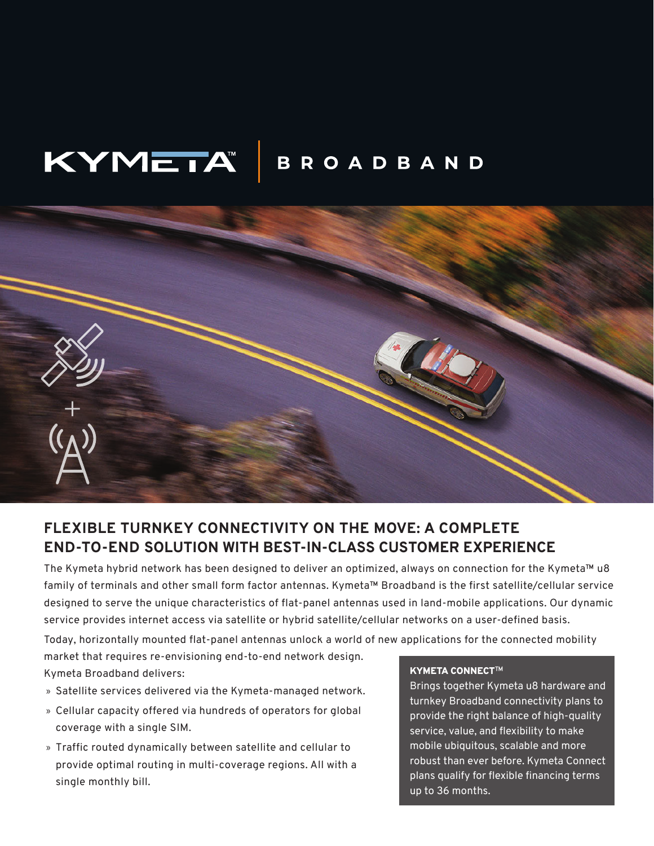## KYMETA **BROADBAND**



# **FLEXIBLE TURNKEY CONNECTIVITY ON THE MOVE: A COMPLETE END-TO-END SOLUTION WITH BEST-IN-CLASS CUSTOMER EXPERIENCE**

The Kymeta hybrid network has been designed to deliver an optimized, always on connection for the Kymeta™ u8 family of terminals and other small form factor antennas. Kymeta™ Broadband is the first satellite/cellular service designed to serve the unique characteristics of flat-panel antennas used in land-mobile applications. Our dynamic service provides internet access via satellite or hybrid satellite/cellular networks on a user-defined basis.

Today, horizontally mounted flat-panel antennas unlock a world of new applications for the connected mobility

market that requires re-envisioning end-to-end network design. Kymeta Broadband delivers: Kymeta Broadband delivers:

- » Satellite services delivered via the Kymeta-managed network.
- » Cellular capacity offered via hundreds of operators for global coverage with a single SIM.
- » Traffic routed dynamically between satellite and cellular to provide optimal routing in multi-coverage regions. All with a single monthly bill.

Brings together Kymeta u8 hardware and turnkey Broadband connectivity plans to provide the right balance of high-quality service, value, and flexibility to make mobile ubiquitous, scalable and more robust than ever before. Kymeta Connect plans qualify for flexible financing terms up to 36 months.